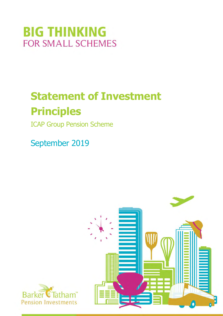# **BIG THINKING FOR SMALL SCHEMES**

# Statement of Investment Principles

ICAP Group Pension Scheme

September 2019



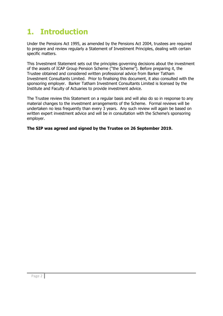## 1. Introduction

Under the Pensions Act 1995, as amended by the Pensions Act 2004, trustees are required to prepare and review regularly a Statement of Investment Principles, dealing with certain specific matters.

This Investment Statement sets out the principles governing decisions about the investment of the assets of ICAP Group Pension Scheme ("the Scheme"). Before preparing it, the Trustee obtained and considered written professional advice from Barker Tatham Investment Consultants Limited. Prior to finalising this document, it also consulted with the sponsoring employer. Barker Tatham Investment Consultants Limited is licensed by the Institute and Faculty of Actuaries to provide investment advice.

The Trustee review this Statement on a regular basis and will also do so in response to any material changes to the investment arrangements of the Scheme. Formal reviews will be undertaken no less frequently than every 3 years. Any such review will again be based on written expert investment advice and will be in consultation with the Scheme's sponsoring employer.

The SIP was agreed and signed by the Trustee on 26 September 2019.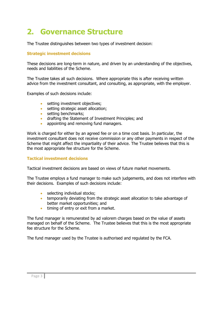## 2. Governance Structure

The Trustee distinguishes between two types of investment decision:

### Strategic investment decisions

These decisions are long-term in nature, and driven by an understanding of the objectives, needs and liabilities of the Scheme.

The Trustee takes all such decisions. Where appropriate this is after receiving written advice from the investment consultant, and consulting, as appropriate, with the employer.

Examples of such decisions include:

- **setting investment objectives;**
- **setting strategic asset allocation;**
- setting benchmarks;
- drafting the Statement of Investment Principles; and
- appointing and removing fund managers.

Work is charged for either by an agreed fee or on a time cost basis. In particular, the investment consultant does not receive commission or any other payments in respect of the Scheme that might affect the impartiality of their advice. The Trustee believes that this is the most appropriate fee structure for the Scheme.

### Tactical investment decisions

Tactical investment decisions are based on views of future market movements.

The Trustee employs a fund manager to make such judgements, and does not interfere with their decisions. Examples of such decisions include:

- selecting individual stocks:
- **temporarily deviating from the strategic asset allocation to take advantage of** better market opportunities; and
- timing of entry or exit from a market.

The fund manager is remunerated by ad valorem charges based on the value of assets managed on behalf of the Scheme. The Trustee believes that this is the most appropriate fee structure for the Scheme.

The fund manager used by the Trustee is authorised and regulated by the FCA.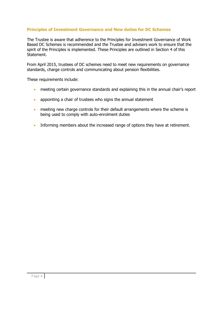### Principles of Investment Governance and New duties for DC Schemes

The Trustee is aware that adherence to the Principles for Investment Governance of Work Based DC Schemes is recommended and the Trustee and advisers work to ensure that the spirit of the Principles is implemented. These Principles are outlined in Section 4 of this Statement.

From April 2015, trustees of DC schemes need to meet new requirements on governance standards, charge controls and communicating about pension flexibilities.

These requirements include:

- meeting certain governance standards and explaining this in the annual chair's report
- appointing a chair of trustees who signs the annual statement
- meeting new charge controls for their default arrangements where the scheme is being used to comply with auto-enrolment duties
- Informing members about the increased range of options they have at retirement.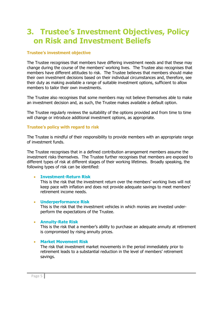## 3. Trustee's Investment Objectives, Policy on Risk and Investment Beliefs

### Trustee's investment objective

The Trustee recognises that members have differing investment needs and that these may change during the course of the members' working lives. The Trustee also recognises that members have different attitudes to risk. The Trustee believes that members should make their own investment decisions based on their individual circumstances and, therefore, see their duty as making available a range of suitable investment options, sufficient to allow members to tailor their own investments.

The Trustee also recognises that some members may not believe themselves able to make an investment decision and, as such, the Trustee makes available a default option.

The Trustee regularly reviews the suitability of the options provided and from time to time will change or introduce additional investment options, as appropriate.

### Trustee's policy with regard to risk

The Trustee is mindful of their responsibility to provide members with an appropriate range of investment funds.

The Trustee recognises that in a defined contribution arrangement members assume the investment risks themselves. The Trustee further recognises that members are exposed to different types of risk at different stages of their working lifetimes. Broadly speaking, the following types of risk can be identified:

### Investment-Return Risk

This is the risk that the investment return over the members' working lives will not keep pace with inflation and does not provide adequate savings to meet members' retirement income needs.

### Underperformance Risk

This is the risk that the investment vehicles in which monies are invested underperform the expectations of the Trustee.

### Annuity-Rate Risk

This is the risk that a member's ability to purchase an adequate annuity at retirement is compromised by rising annuity prices.

### Market Movement Risk

The risk that investment market movements in the period immediately prior to retirement leads to a substantial reduction in the level of members' retirement savings.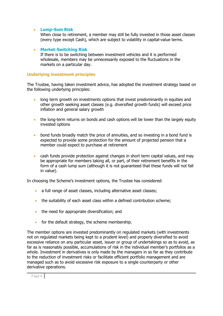### Lump-Sum Risk

When close to retirement, a member may still be fully invested in those asset classes (every type except Cash), which are subject to volatility in capital-value terms.

### Market-Switching Risk

If there is to be switching between investment vehicles and it is performed wholesale, members may be unnecessarily exposed to the fluctuations in the markets on a particular day.

### Underlying investment principles

The Trustee, having taken investment advice, has adopted the investment strategy based on the following underlying principles:

- long term growth on investments options that invest predominantly in equities and other growth seeking asset classes (e.g. diversified growth funds) will exceed price inflation and general salary growth
- the long-term returns on bonds and cash options will be lower than the largely equity invested options
- **•** bond funds broadly match the price of annuities, and so investing in a bond fund is expected to provide some protection for the amount of projected pension that a member could expect to purchase at retirement
- cash funds provide protection against changes in short term capital values, and may be appropriate for members taking all, or part, of their retirement benefits in the form of a cash lump sum (although it is not guaranteed that these funds will not fall in value).

In choosing the Scheme's investment options, the Trustee has considered:

- a full range of asset classes, including alternative asset classes;
- the suitability of each asset class within a defined contribution scheme;
- the need for appropriate diversification; and
- for the default strategy, the scheme membership.

The member options are invested predominantly on regulated markets (with investments not on regulated markets being kept to a prudent level) and properly diversified to avoid excessive reliance on any particular asset, issuer or group of undertakings so as to avoid, as far as is reasonably possible, accumulations of risk in the individual member's portfolios as a whole. Investment in derivatives is only made by the managers in so far as they contribute to the reduction of investment risks or facilitate efficient portfolio management and are managed such as to avoid excessive risk exposure to a single counterparty or other derivative operations.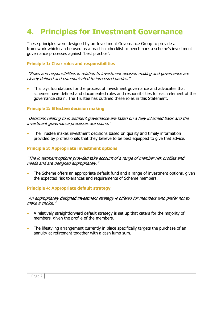## 4. Principles for Investment Governance

These principles were designed by an Investment Governance Group to provide a framework which can be used as a practical checklist to benchmark a scheme's investment governance processes against "best practice".

### Principle 1: Clear roles and responsibilities

 "Roles and responsibilities in relation to investment decision making and governance are clearly defined and communicated to interested parties."

 This lays foundations for the process of investment governance and advocates that schemes have defined and documented roles and responsibilities for each element of the governance chain. The Trustee has outlined these roles in this Statement.

### Principle 2: Effective decision making

"Decisions relating to investment governance are taken on a fully informed basis and the investment governance processes are sound."

 The Trustee makes investment decisions based on quality and timely information provided by professionals that they believe to be best equipped to give that advice.

### Principle 3: Appropriate investment options

"The investment options provided take account of a range of member risk profiles and needs and are designed appropriately."

 The Scheme offers an appropriate default fund and a range of investment options, given the expected risk tolerances and requirements of Scheme members.

### Principle 4: Appropriate default strategy

"An appropriately designed investment strategy is offered for members who prefer not to make a choice."

- A relatively straightforward default strategy is set up that caters for the majority of members, given the profile of the members.
- The lifestyling arrangement currently in place specifically targets the purchase of an annuity at retirement together with a cash lump sum.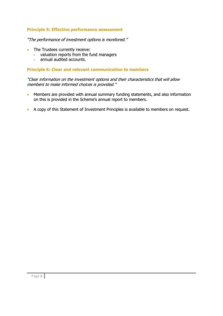### Principle 5: Effective performance assessment

"The performance of investment options is monitored."

- The Trustees currently receive:
	- valuation reports from the fund managers
	- annual audited accounts.

### Principle 6: Clear and relevant communication to members

"Clear information on the investment options and their characteristics that will allow members to make informed choices is provided."

- Members are provided with annual summary funding statements, and also information on this is provided in the Scheme's annual report to members.
- A copy of this Statement of Investment Principles is available to members on request.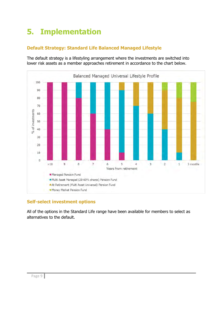## 5. Implementation

### Default Strategy: Standard Life Balanced Managed Lifestyle

The default strategy is a lifestyling arrangement where the investments are switched into lower risk assets as a member approaches retirement in accordance to the chart below.



### Self-select investment options

All of the options in the Standard Life range have been available for members to select as alternatives to the default.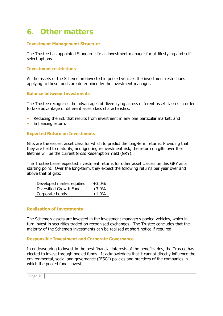## 6. Other matters

### Investment Management Structure

The Trustee has appointed Standard Life as investment manager for all lifestyling and selfselect options.

### Investment restrictions

As the assets of the Scheme are invested in pooled vehicles the investment restrictions applying to these funds are determined by the investment manager.

### Balance between Investments

The Trustee recognises the advantages of diversifying across different asset classes in order to take advantage of different asset class characteristics.

- Reducing the risk that results from investment in any one particular market; and
- Enhancing return.

### Expected Return on Investments

Gilts are the easiest asset class for which to predict the long-term returns. Providing that they are held to maturity, and ignoring reinvestment risk, the return on gilts over their lifetime will be the current Gross Redemption Yield (GRY).

The Trustee bases expected investment returns for other asset classes on this GRY as a starting point. Over the long-term, they expect the following returns per year over and above that of gilts:

| Developed market equities | $+3.0%$ |
|---------------------------|---------|
| Diversified Growth Funds  | $+3.0%$ |
| Corporate bonds           | $+1.0%$ |

### Realisation of Investments

The Scheme's assets are invested in the investment manager's pooled vehicles, which in turn invest in securities traded on recognised exchanges. The Trustee concludes that the majority of the Scheme's investments can be realised at short notice if required.

### Responsible Investment and Corporate Governance

In endeavouring to invest in the best financial interests of the beneficiaries, the Trustee has elected to invest through pooled funds. It acknowledges that it cannot directly influence the environmental, social and governance ("ESG") policies and practices of the companies in which the pooled funds invest.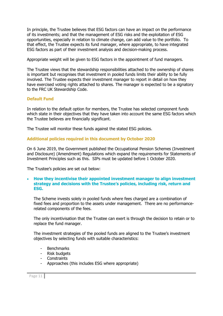In principle, the Trustee believes that ESG factors can have an impact on the performance of its investments; and that the management of ESG risks and the exploitation of ESG opportunities, especially in relation to climate change, can add value to the portfolio. To that effect, the Trustee expects its fund manager, where appropriate, to have integrated ESG factors as part of their investment analysis and decision-making process.

Appropriate weight will be given to ESG factors in the appointment of fund managers.

The Trustee views that the stewardship responsibilities attached to the ownership of shares is important but recognises that investment in pooled funds limits their ability to be fully involved. The Trustee expects their investment manager to report in detail on how they have exercised voting rights attached to shares. The manager is expected to be a signatory to the FRC UK Stewardship Code.

### Default Fund

In relation to the default option for members, the Trustee has selected component funds which state in their objectives that they have taken into account the same ESG factors which the Trustee believes are financially significant.

The Trustee will monitor these funds against the stated ESG policies.

### Additional policies required in this document by October 2020

On 6 June 2019, the Government published the Occupational Pension Schemes (Investment and Disclosure) (Amendment) Regulations which expand the requirements for Statements of Investment Principles such as this. SIPs must be updated before 1 October 2020.

The Trustee's policies are set out below:

### • How they incentivise their appointed investment manager to align investment strategy and decisions with the Trustee's policies, including risk, return and ESG.

The Scheme invests solely in pooled funds where fees charged are a combination of fixed fees and proportion to the assets under management. There are no performancerelated components of the fees.

The only incentivisation that the Trustee can exert is through the decision to retain or to replace the fund manager.

The investment strategies of the pooled funds are aligned to the Trustee's investment objectives by selecting funds with suitable characteristics:

- **Benchmarks**
- Risk budgets
- Constraints
- Approaches (this includes ESG where appropriate)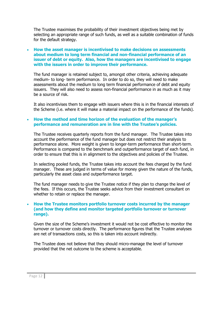The Trustee maximises the probability of their investment objectives being met by selecting an appropriate range of such funds, as well as a suitable combination of funds for the default strategy.

### How the asset manager is incentivised to make decisions on assessments about medium to long term financial and non-financial performance of an issuer of debt or equity. Also, how the managers are incentivised to engage with the issuers in order to improve their performance.

The fund manager is retained subject to, amongst other criteria, achieving adequate medium- to long- term performance. In order to do so, they will need to make assessments about the medium to long term financial performance of debt and equity issuers. They will also need to assess non-financial performance in as much as it may be a source of risk.

It also incentivises them to engage with issuers where this is in the financial interests of the Scheme (i.e. where it will make a material impact on the performance of the funds).

### How the method and time horizon of the evaluation of the manager's performance and remuneration are in line with the Trustee's policies.

The Trustee receives quarterly reports from the fund manager. The Trustee takes into account the performance of the fund manager but does not restrict their analysis to performance alone. More weight is given to longer-term performance than short-term. Performance is compared to the benchmark and outperformance target of each fund, in order to ensure that this is in alignment to the objectives and policies of the Trustee.

In selecting pooled funds, the Trustee takes into account the fees charged by the fund manager. These are judged in terms of value for money given the nature of the funds, particularly the asset class and outperformance target.

The fund manager needs to give the Trustee notice if they plan to change the level of the fees. If this occurs, the Trustee seeks advice from their investment consultant on whether to retain or replace the manager.

### How the Trustee monitors portfolio turnover costs incurred by the manager (and how they define and monitor targeted portfolio turnover or turnover range).

Given the size of the Scheme's investment it would not be cost effective to monitor the turnover or turnover costs directly. The performance figures that the Trustee analyses are net of transactions costs, so this is taken into account indirectly.

The Trustee does not believe that they should micro-manage the level of turnover provided that the net outcome to the scheme is acceptable.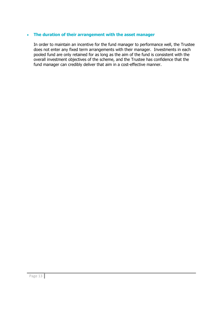### The duration of their arrangement with the asset manager

In order to maintain an incentive for the fund manager to performance well, the Trustee does not enter any fixed term arrangements with their manager. Investments in each pooled fund are only retained for as long as the aim of the fund is consistent with the overall investment objectives of the scheme, and the Trustee has confidence that the fund manager can credibly deliver that aim in a cost-effective manner.